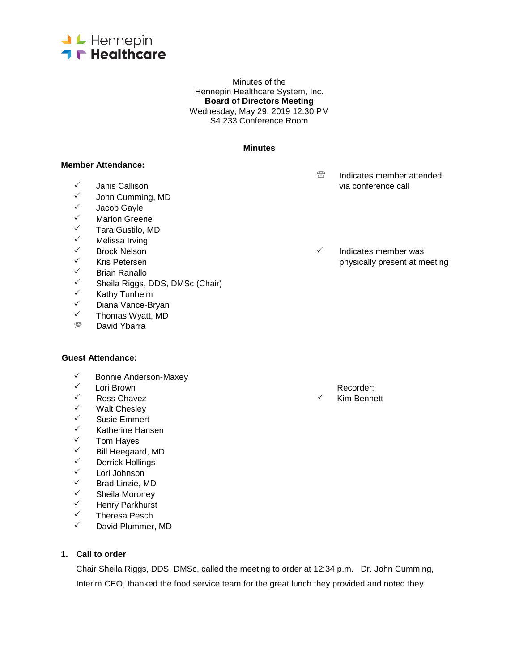

Minutes of the Hennepin Healthcare System, Inc. **Board of Directors Meeting** Wednesday, May 29, 2019 12:30 PM S4.233 Conference Room

#### **Minutes**

#### **Member Attendance:**

- 
- John Cumming, MD
- V Jacob Gayle<br>V Marion Greer
- V Marion Greene<br>V Tara Gustilo M
- ✓ Tara Gustilo, MD<br>✓ Melissa Irving
- ✓ Melissa Irving<br>✓ Brock Nelson
- 
- 
- ✓ Brian Ranallo<br>✓ Sheila Riggs
- ✓ Sheila Riggs, DDS, DMSc (Chair)<br>✓ Kathy Tunheim
- ✓ Kathy Tunheim<br>✓ Diana Vance-Br
- V Diana Vance-Bryan<br>V Thomas Wyatt MD
- $\checkmark$  Thomas Wyatt, MD<br>Revid Yharra
- David Ybarra

#### **Guest Attendance:**

- <del>V</del> Bonnie Anderson-Maxey<br>V Lori Brown
- 
- Ross Chavez Kim Bennett
- V Walt Chesley<br>V Susie Emmert
- ✓ Susie Emmert<br>✓ Katherine Hans
- √ Katherine Hansen<br>✓ Tom Haves
- V Tom Hayes<br>V Rill Heegaar
- <del>V</del> Bill Heegaard, MD<br>V Derrick Hollings
- <del>V</del> Derrick Hollings<br>V Lori Johnson
- ✓ Lori Johnson<br>✓ Rrad Linzie M
- Brad Linzie, MD
- V Sheila Moroney<br>V Henry Parkhurst
- ✓ Henry Parkhurst<br>✓ Theresa Pesch
- Theresa Pesch
- $\checkmark$  David Plummer, MD

# **1. Call to order**

Chair Sheila Riggs, DDS, DMSc, called the meeting to order at 12:34 p.m. Dr. John Cumming, Interim CEO, thanked the food service team for the great lunch they provided and noted they

- **<sup><sup>®</sup>** Indicates member attended</sup>  $\checkmark$  Janis Callison via conference call via conference call via conference call via conference call via conference call via  $\checkmark$
- $\checkmark$  Brock Nelson  $\checkmark$  Indicates member was  $\checkmark$  Indicates member was  $\checkmark$  Indicates member was  $\checkmark$  $\checkmark$  Kris Petersen physically present at meeting physically present at meeting physically present at meeting  $\checkmark$

← Lori Brown Recorder: National Seconder: National Recorder: National Recorder: N<br>← Ross Chavez Recorder: National Recorder: National Recorder: National Recorder: National Recorder: National R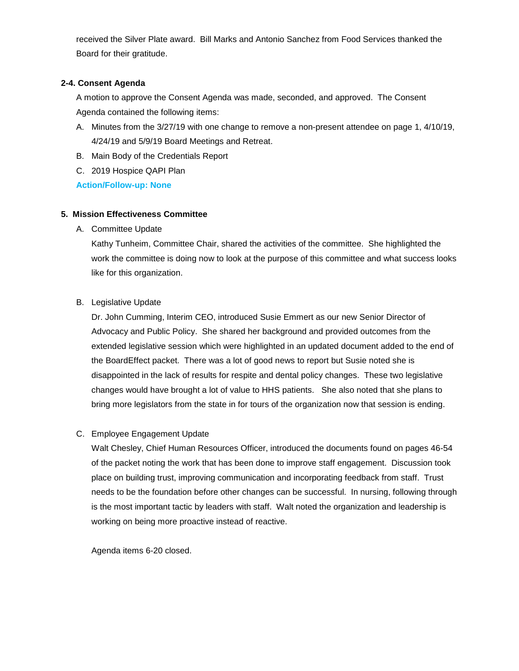received the Silver Plate award. Bill Marks and Antonio Sanchez from Food Services thanked the Board for their gratitude.

# **2-4. Consent Agenda**

A motion to approve the Consent Agenda was made, seconded, and approved. The Consent Agenda contained the following items:

- A. Minutes from the 3/27/19 with one change to remove a non-present attendee on page 1, 4/10/19, 4/24/19 and 5/9/19 Board Meetings and Retreat.
- B. Main Body of the Credentials Report
- C. 2019 Hospice QAPI Plan

**Action/Follow-up: None**

### **5. Mission Effectiveness Committee**

A. Committee Update

Kathy Tunheim, Committee Chair, shared the activities of the committee. She highlighted the work the committee is doing now to look at the purpose of this committee and what success looks like for this organization.

B. Legislative Update

Dr. John Cumming, Interim CEO, introduced Susie Emmert as our new Senior Director of Advocacy and Public Policy. She shared her background and provided outcomes from the extended legislative session which were highlighted in an updated document added to the end of the BoardEffect packet. There was a lot of good news to report but Susie noted she is disappointed in the lack of results for respite and dental policy changes. These two legislative changes would have brought a lot of value to HHS patients. She also noted that she plans to bring more legislators from the state in for tours of the organization now that session is ending.

### C. Employee Engagement Update

Walt Chesley, Chief Human Resources Officer, introduced the documents found on pages 46-54 of the packet noting the work that has been done to improve staff engagement. Discussion took place on building trust, improving communication and incorporating feedback from staff. Trust needs to be the foundation before other changes can be successful. In nursing, following through is the most important tactic by leaders with staff. Walt noted the organization and leadership is working on being more proactive instead of reactive.

Agenda items 6-20 closed.